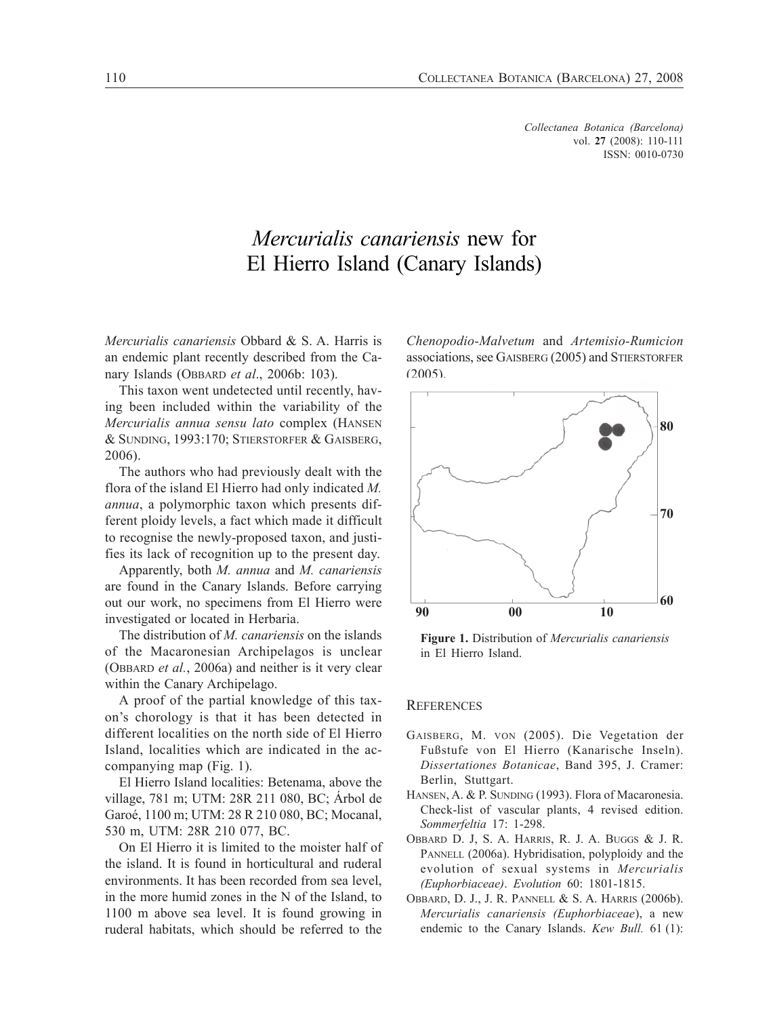*Collectanea Botanica (Barcelona)* vol. **27** (2008): 110-111 ISSN: 0010-0730

## *Mercurialis canariensis* new for El Hierro Island (Canary Islands)

*Mercurialis canariensis* Obbard & S. A. Harris is an endemic plant recently described from the Canary Islands (OBBARD *et al*., 2006b: 103).

This taxon went undetected until recently, having been included within the variability of the *Mercurialis annua sensu lato* complex (HANSEN & SUNDING, 1993:170; STIERSTORFER & GAISBERG, 2006).

The authors who had previously dealt with the flora of the island El Hierro had only indicated *M. annua*, a polymorphic taxon which presents different ploidy levels, a fact which made it difficult to recognise the newly-proposed taxon, and justifies its lack of recognition up to the present day.

Apparently, both *M. annua* and *M. canariensis* are found in the Canary Islands. Before carrying out our work, no specimens from El Hierro were investigated or located in Herbaria.

The distribution of *M. canariensis* on the islands of the Macaronesian Archipelagos is unclear (OBBARD *et al.*, 2006a) and neither is it very clear within the Canary Archipelago.

A proof of the partial knowledge of this taxon's chorology is that it has been detected in different localities on the north side of El Hierro Island, localities which are indicated in the accompanying map (Fig. 1).

El Hierro Island localities: Betenama, above the village, 781 m; UTM: 28R 211 080, BC; Árbol de Garoé, 1100 m; UTM: 28 R 210 080, BC; Mocanal, 530 m, UTM: 28R 210 077, BC.

On El Hierro it is limited to the moister half of the island. It is found in horticultural and ruderal environments. It has been recorded from sea level, in the more humid zones in the N of the Island, to 1100 m above sea level. It is found growing in ruderal habitats, which should be referred to the

*Chenopodio-Malvetum* and *Artemisio-Rumicion* associations, see GAISBERG (2005) and STIERSTORFER (2005).



**Figure 1.** Distribution of *Mercurialis canariensis* in El Hierro Island.

## **REFERENCES**

- GAISBERG, M. VON (2005). Die Vegetation der Fußstufe von El Hierro (Kanarische Inseln). *Dissertationes Botanicae*, Band 395, J. Cramer: Berlin, Stuttgart.
- HANSEN, A. & P. SUNDING (1993). Flora of Macaronesia. Check-list of vascular plants, 4 revised edition. *Sommerfeltia* 17: 1-298.
- OBBARD D. J, S. A. HARRIS, R. J. A. BUGGS & J. R. PANNELL (2006a). Hybridisation, polyploidy and the evolution of sexual systems in *Mercurialis (Euphorbiaceae)*. *Evolution* 60: 1801-1815.
- OBBARD, D. J., J. R. PANNELL & S. A. HARRIS (2006b). *Mercurialis canariensis (Euphorbiaceae*), a new endemic to the Canary Islands. *Kew Bull.* 61 (1):